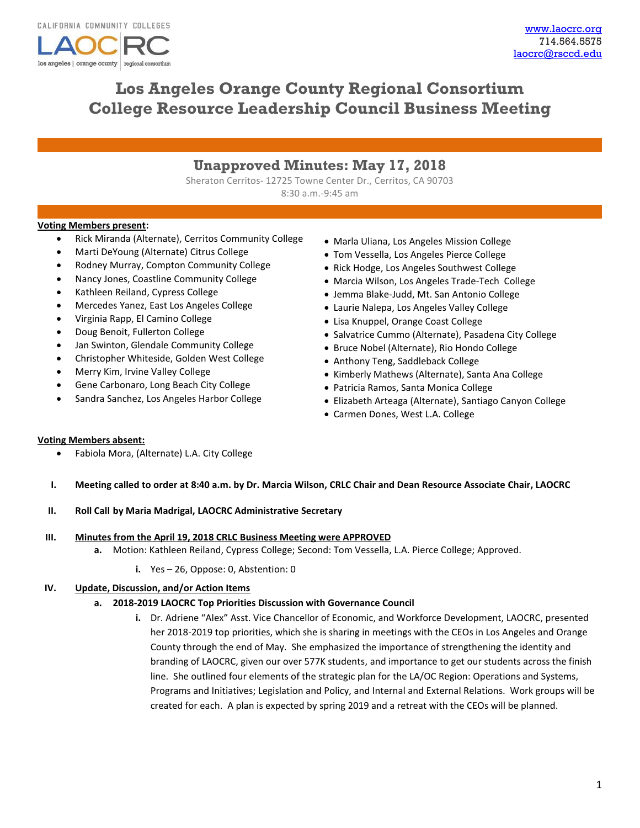

# **Los Angeles Orange County Regional Consortium College Resource Leadership Council Business Meeting**

## **Unapproved Minutes: May 17, 2018**

Sheraton Cerritos- 12725 Towne Center Dr., Cerritos, CA 90703 8:30 a.m.-9:45 am

### **Voting Members present:**

- Rick Miranda (Alternate), Cerritos Community College
- Marti DeYoung (Alternate) Citrus College
- Rodney Murray, Compton Community College
- Nancy Jones, Coastline Community College
- Kathleen Reiland, Cypress College
- Mercedes Yanez, East Los Angeles College
- Virginia Rapp, El Camino College
- Doug Benoit, Fullerton College
- Jan Swinton, Glendale Community College
- Christopher Whiteside, Golden West College
- Merry Kim, Irvine Valley College
- Gene Carbonaro, Long Beach City College
- Sandra Sanchez, Los Angeles Harbor College
- Marla Uliana, Los Angeles Mission College
- Tom Vessella, Los Angeles Pierce College
- Rick Hodge, Los Angeles Southwest College
- Marcia Wilson, Los Angeles Trade-Tech College
- Jemma Blake-Judd, Mt. San Antonio College
- Laurie Nalepa, Los Angeles Valley College
- Lisa Knuppel, Orange Coast College
- Salvatrice Cummo (Alternate), Pasadena City College
- Bruce Nobel (Alternate), Rio Hondo College
- Anthony Teng, Saddleback College
- Kimberly Mathews (Alternate), Santa Ana College
- Patricia Ramos, Santa Monica College
- Elizabeth Arteaga (Alternate), Santiago Canyon College
- Carmen Dones, West L.A. College

### **Voting Members absent:**

- Fabiola Mora, (Alternate) L.A. City College
- **I. Meeting called to order at 8:40 a.m. by Dr. Marcia Wilson, CRLC Chair and Dean Resource Associate Chair, LAOCRC**

### **II. Roll Call by Maria Madrigal, LAOCRC Administrative Secretary**

- **III. Minutes from the April 19, 2018 CRLC Business Meeting were APPROVED**
	- **a.** Motion: Kathleen Reiland, Cypress College; Second: Tom Vessella, L.A. Pierce College; Approved.
		- **i.** Yes 26, Oppose: 0, Abstention: 0

### **IV. Update, Discussion, and/or Action Items**

### **a. 2018-2019 LAOCRC Top Priorities Discussion with Governance Council**

**i.** Dr. Adriene "Alex" Asst. Vice Chancellor of Economic, and Workforce Development, LAOCRC, presented her 2018-2019 top priorities, which she is sharing in meetings with the CEOs in Los Angeles and Orange County through the end of May. She emphasized the importance of strengthening the identity and branding of LAOCRC, given our over 577K students, and importance to get our students across the finish line. She outlined four elements of the strategic plan for the LA/OC Region: Operations and Systems, Programs and Initiatives; Legislation and Policy, and Internal and External Relations. Work groups will be created for each. A plan is expected by spring 2019 and a retreat with the CEOs will be planned.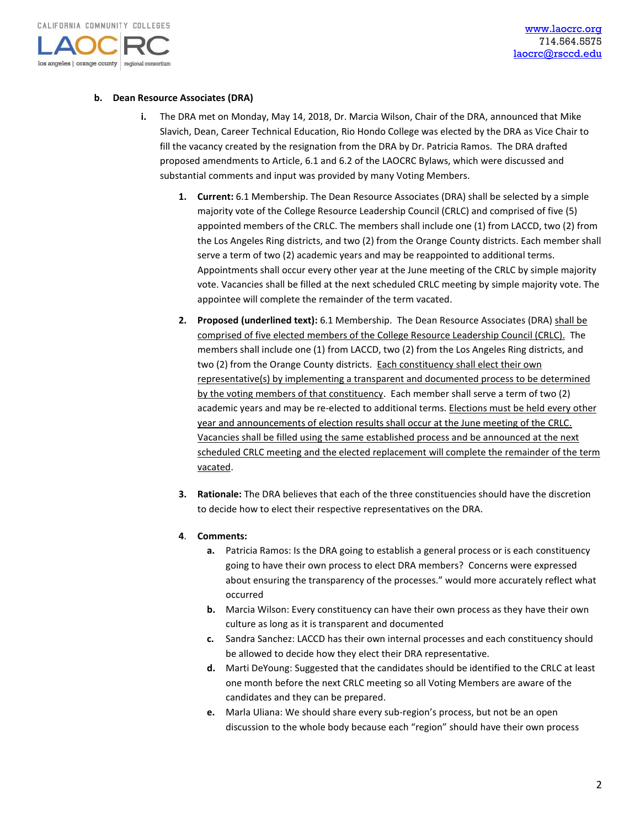

### **b. Dean Resource Associates (DRA)**

- **i.** The DRA met on Monday, May 14, 2018, Dr. Marcia Wilson, Chair of the DRA, announced that Mike Slavich, Dean, Career Technical Education, Rio Hondo College was elected by the DRA as Vice Chair to fill the vacancy created by the resignation from the DRA by Dr. Patricia Ramos. The DRA drafted proposed amendments to Article, 6.1 and 6.2 of the LAOCRC Bylaws, which were discussed and substantial comments and input was provided by many Voting Members.
	- **1. Current:** 6.1 Membership. The Dean Resource Associates (DRA) shall be selected by a simple majority vote of the College Resource Leadership Council (CRLC) and comprised of five (5) appointed members of the CRLC. The members shall include one (1) from LACCD, two (2) from the Los Angeles Ring districts, and two (2) from the Orange County districts. Each member shall serve a term of two (2) academic years and may be reappointed to additional terms. Appointments shall occur every other year at the June meeting of the CRLC by simple majority vote. Vacancies shall be filled at the next scheduled CRLC meeting by simple majority vote. The appointee will complete the remainder of the term vacated.
	- **2. Proposed (underlined text):** 6.1 Membership. The Dean Resource Associates (DRA) shall be comprised of five elected members of the College Resource Leadership Council (CRLC). The members shall include one (1) from LACCD, two (2) from the Los Angeles Ring districts, and two (2) from the Orange County districts. Each constituency shall elect their own representative(s) by implementing a transparent and documented process to be determined by the voting members of that constituency. Each member shall serve a term of two (2) academic years and may be re-elected to additional terms. Elections must be held every other year and announcements of election results shall occur at the June meeting of the CRLC. Vacancies shall be filled using the same established process and be announced at the next scheduled CRLC meeting and the elected replacement will complete the remainder of the term vacated.
	- **3. Rationale:** The DRA believes that each of the three constituencies should have the discretion to decide how to elect their respective representatives on the DRA.
	- **4**. **Comments:** 
		- **a.** Patricia Ramos: Is the DRA going to establish a general process or is each constituency going to have their own process to elect DRA members? Concerns were expressed about ensuring the transparency of the processes." would more accurately reflect what occurred
		- **b.** Marcia Wilson: Every constituency can have their own process as they have their own culture as long as it is transparent and documented
		- **c.** Sandra Sanchez: LACCD has their own internal processes and each constituency should be allowed to decide how they elect their DRA representative.
		- **d.** Marti DeYoung: Suggested that the candidates should be identified to the CRLC at least one month before the next CRLC meeting so all Voting Members are aware of the candidates and they can be prepared.
		- **e.** Marla Uliana: We should share every sub-region's process, but not be an open discussion to the whole body because each "region" should have their own process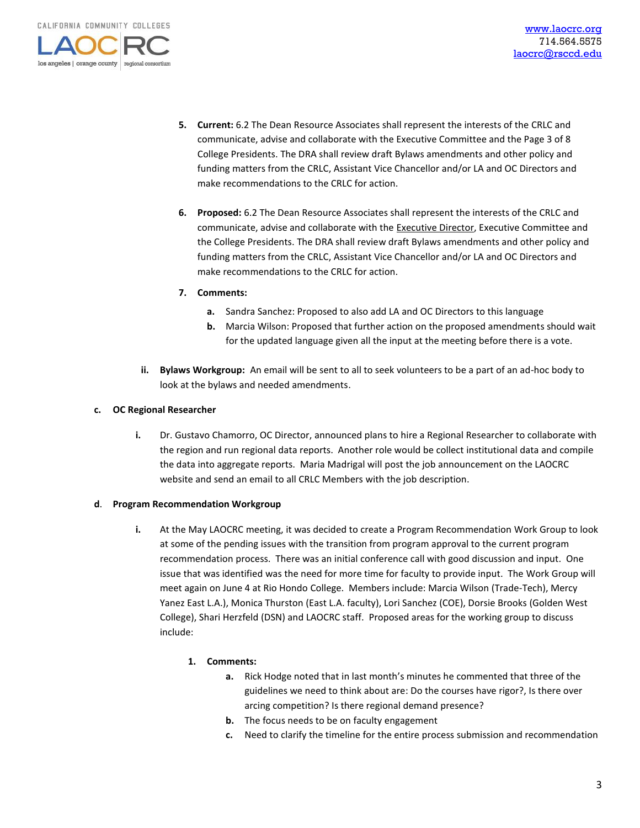los angeles | orange county | regional consortium

- **5. Current:** 6.2 The Dean Resource Associates shall represent the interests of the CRLC and communicate, advise and collaborate with the Executive Committee and the Page 3 of 8 College Presidents. The DRA shall review draft Bylaws amendments and other policy and funding matters from the CRLC, Assistant Vice Chancellor and/or LA and OC Directors and make recommendations to the CRLC for action.
- **6. Proposed:** 6.2 The Dean Resource Associates shall represent the interests of the CRLC and communicate, advise and collaborate with the Executive Director, Executive Committee and the College Presidents. The DRA shall review draft Bylaws amendments and other policy and funding matters from the CRLC, Assistant Vice Chancellor and/or LA and OC Directors and make recommendations to the CRLC for action.
- **7. Comments:**
	- **a.** Sandra Sanchez: Proposed to also add LA and OC Directors to this language
	- **b.** Marcia Wilson: Proposed that further action on the proposed amendments should wait for the updated language given all the input at the meeting before there is a vote.
- **ii. Bylaws Workgroup:** An email will be sent to all to seek volunteers to be a part of an ad-hoc body to look at the bylaws and needed amendments.

#### **c. OC Regional Researcher**

**i.** Dr. Gustavo Chamorro, OC Director, announced plans to hire a Regional Researcher to collaborate with the region and run regional data reports. Another role would be collect institutional data and compile the data into aggregate reports. Maria Madrigal will post the job announcement on the LAOCRC website and send an email to all CRLC Members with the job description.

### **d**. **Program Recommendation Workgroup**

**i.** At the May LAOCRC meeting, it was decided to create a Program Recommendation Work Group to look at some of the pending issues with the transition from program approval to the current program recommendation process. There was an initial conference call with good discussion and input. One issue that was identified was the need for more time for faculty to provide input. The Work Group will meet again on June 4 at Rio Hondo College. Members include: Marcia Wilson (Trade-Tech), Mercy Yanez East L.A.), Monica Thurston (East L.A. faculty), Lori Sanchez (COE), Dorsie Brooks (Golden West College), Shari Herzfeld (DSN) and LAOCRC staff. Proposed areas for the working group to discuss include:

### **1. Comments:**

- **a.** Rick Hodge noted that in last month's minutes he commented that three of the guidelines we need to think about are: Do the courses have rigor?, Is there over arcing competition? Is there regional demand presence?
- **b.** The focus needs to be on faculty engagement
- **c.** Need to clarify the timeline for the entire process submission and recommendation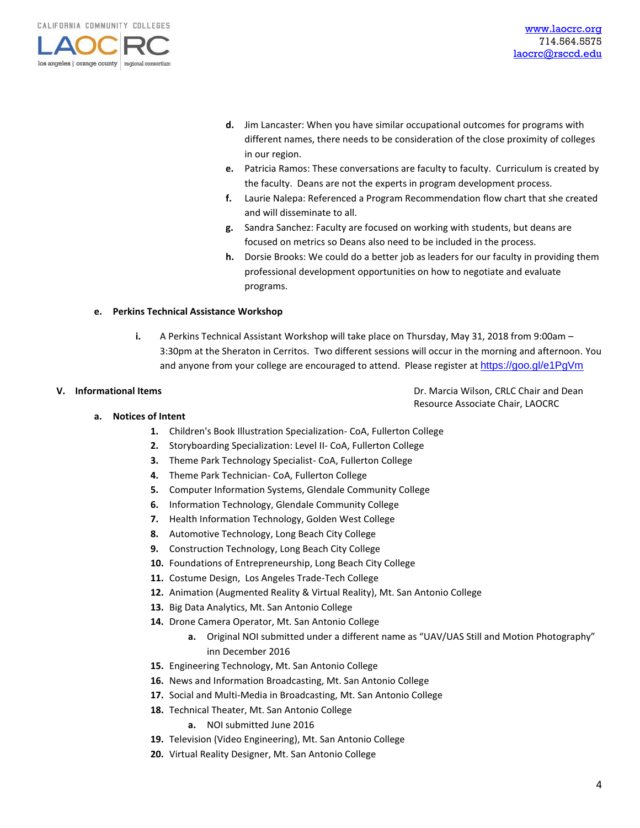

- **d.** Jim Lancaster: When you have similar occupational outcomes for programs with different names, there needs to be consideration of the close proximity of colleges in our region.
- **e.** Patricia Ramos: These conversations are faculty to faculty. Curriculum is created by the faculty. Deans are not the experts in program development process.
- **f.** Laurie Nalepa: Referenced a Program Recommendation flow chart that she created and will disseminate to all.
- **g.** Sandra Sanchez: Faculty are focused on working with students, but deans are focused on metrics so Deans also need to be included in the process.
- **h.** Dorsie Brooks: We could do a better job as leaders for our faculty in providing them professional development opportunities on how to negotiate and evaluate programs.

#### **e. Perkins Technical Assistance Workshop**

**i.** A Perkins Technical Assistant Workshop will take place on Thursday, May 31, 2018 from 9:00am – 3:30pm at the Sheraton in Cerritos. Two different sessions will occur in the morning and afternoon. You and anyone from your college are encouraged to attend. Please register at <https://goo.gl/e1PgVm>

**V.** Informational Items **V. Informational Items Dr. Marcia Wilson, CRLC Chair and Dean** Resource Associate Chair, LAOCRC

#### **a. Notices of Intent**

- **1.** Children's Book Illustration Specialization- CoA, Fullerton College
- **2.** Storyboarding Specialization: Level II- CoA, Fullerton College
- **3.** Theme Park Technology Specialist- CoA, Fullerton College
- **4.** Theme Park Technician- CoA, Fullerton College
- **5.** Computer Information Systems, Glendale Community College
- **6.** Information Technology, Glendale Community College
- **7.** Health Information Technology, Golden West College
- **8.** Automotive Technology, Long Beach City College
- **9.** Construction Technology, Long Beach City College
- **10.** Foundations of Entrepreneurship, Long Beach City College
- **11.** Costume Design, Los Angeles Trade-Tech College
- **12.** Animation (Augmented Reality & Virtual Reality), Mt. San Antonio College
- **13.** Big Data Analytics, Mt. San Antonio College
- **14.** Drone Camera Operator, Mt. San Antonio College
	- **a.** Original NOI submitted under a different name as "UAV/UAS Still and Motion Photography" inn December 2016
- **15.** Engineering Technology, Mt. San Antonio College
- **16.** News and Information Broadcasting, Mt. San Antonio College
- **17.** Social and Multi-Media in Broadcasting, Mt. San Antonio College
- **18.** Technical Theater, Mt. San Antonio College
	- **a.** NOI submitted June 2016
- **19.** Television (Video Engineering), Mt. San Antonio College
- **20.** Virtual Reality Designer, Mt. San Antonio College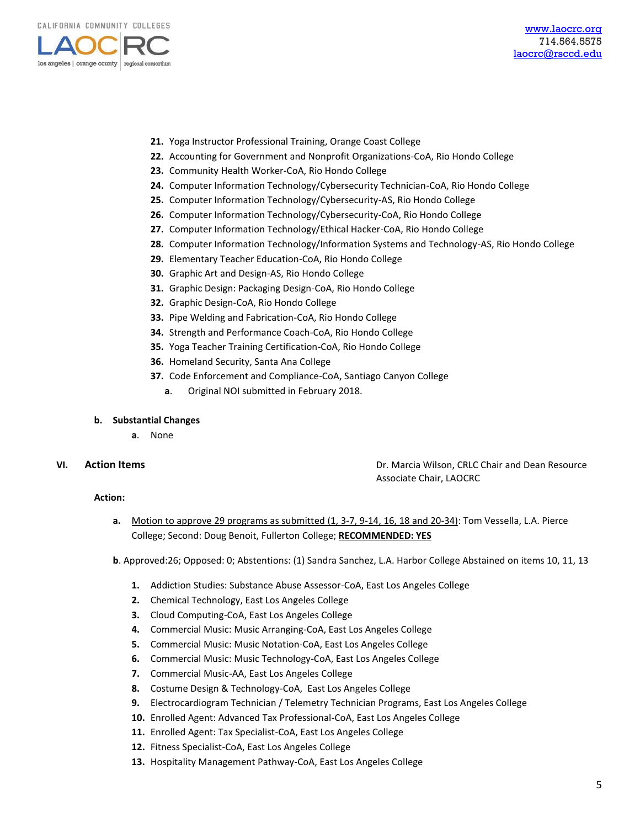

- **21.** Yoga Instructor Professional Training, Orange Coast College
- **22.** Accounting for Government and Nonprofit Organizations-CoA, Rio Hondo College
- **23.** Community Health Worker-CoA, Rio Hondo College
- **24.** Computer Information Technology/Cybersecurity Technician-CoA, Rio Hondo College
- **25.** Computer Information Technology/Cybersecurity-AS, Rio Hondo College
- **26.** Computer Information Technology/Cybersecurity-CoA, Rio Hondo College
- **27.** Computer Information Technology/Ethical Hacker-CoA, Rio Hondo College
- **28.** Computer Information Technology/Information Systems and Technology-AS, Rio Hondo College
- **29.** Elementary Teacher Education-CoA, Rio Hondo College
- **30.** Graphic Art and Design-AS, Rio Hondo College
- **31.** Graphic Design: Packaging Design-CoA, Rio Hondo College
- **32.** Graphic Design-CoA, Rio Hondo College
- **33.** Pipe Welding and Fabrication-CoA, Rio Hondo College
- **34.** Strength and Performance Coach-CoA, Rio Hondo College
- **35.** Yoga Teacher Training Certification-CoA, Rio Hondo College
- **36.** Homeland Security, Santa Ana College
- **37.** Code Enforcement and Compliance-CoA, Santiago Canyon College
	- **a**. Original NOI submitted in February 2018.

### **b. Substantial Changes**

**a**. None

### **VI. Action Items Dr. Marcia Wilson, CRLC Chair and Dean Resource Dr. Marcia Wilson, CRLC Chair and Dean Resource** Associate Chair, LAOCRC

#### **Action:**

**a.** Motion to approve 29 programs as submitted (1, 3-7, 9-14, 16, 18 and 20-34): Tom Vessella, L.A. Pierce College; Second: Doug Benoit, Fullerton College; **RECOMMENDED: YES**

**b**. Approved:26; Opposed: 0; Abstentions: (1) Sandra Sanchez, L.A. Harbor College Abstained on items 10, 11, 13

- **1.** Addiction Studies: Substance Abuse Assessor-CoA, East Los Angeles College
- **2.** Chemical Technology, East Los Angeles College
- **3.** Cloud Computing-CoA, East Los Angeles College
- **4.** Commercial Music: Music Arranging-CoA, East Los Angeles College
- **5.** Commercial Music: Music Notation-CoA, East Los Angeles College
- **6.** Commercial Music: Music Technology-CoA, East Los Angeles College
- **7.** Commercial Music-AA, East Los Angeles College
- **8.** Costume Design & Technology-CoA, East Los Angeles College
- **9.** Electrocardiogram Technician / Telemetry Technician Programs, East Los Angeles College
- **10.** Enrolled Agent: Advanced Tax Professional-CoA, East Los Angeles College
- **11.** Enrolled Agent: Tax Specialist-CoA, East Los Angeles College
- **12.** Fitness Specialist-CoA, East Los Angeles College
- **13.** Hospitality Management Pathway-CoA, East Los Angeles College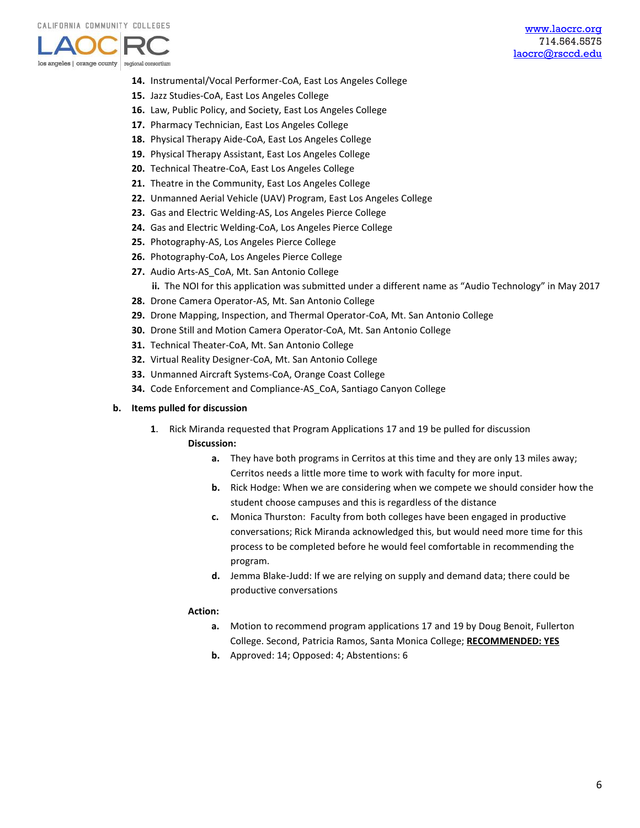

- **14.** Instrumental/Vocal Performer-CoA, East Los Angeles College
- **15.** Jazz Studies-CoA, East Los Angeles College
- **16.** Law, Public Policy, and Society, East Los Angeles College
- **17.** Pharmacy Technician, East Los Angeles College
- **18.** Physical Therapy Aide-CoA, East Los Angeles College
- **19.** Physical Therapy Assistant, East Los Angeles College
- **20.** Technical Theatre-CoA, East Los Angeles College
- **21.** Theatre in the Community, East Los Angeles College
- **22.** Unmanned Aerial Vehicle (UAV) Program, East Los Angeles College
- **23.** Gas and Electric Welding-AS, Los Angeles Pierce College
- **24.** Gas and Electric Welding-CoA, Los Angeles Pierce College
- **25.** Photography-AS, Los Angeles Pierce College
- **26.** Photography-CoA, Los Angeles Pierce College
- **27.** Audio Arts-AS\_CoA, Mt. San Antonio College
	- **ii.** The NOI for this application was submitted under a different name as "Audio Technology" in May 2017
- **28.** Drone Camera Operator-AS, Mt. San Antonio College
- **29.** Drone Mapping, Inspection, and Thermal Operator-CoA, Mt. San Antonio College
- **30.** Drone Still and Motion Camera Operator-CoA, Mt. San Antonio College
- **31.** Technical Theater-CoA, Mt. San Antonio College
- **32.** Virtual Reality Designer-CoA, Mt. San Antonio College
- **33.** Unmanned Aircraft Systems-CoA, Orange Coast College
- **34.** Code Enforcement and Compliance-AS\_CoA, Santiago Canyon College

#### **b. Items pulled for discussion**

- **1**. Rick Miranda requested that Program Applications 17 and 19 be pulled for discussion **Discussion:**
	- **a.** They have both programs in Cerritos at this time and they are only 13 miles away; Cerritos needs a little more time to work with faculty for more input.
	- **b.** Rick Hodge: When we are considering when we compete we should consider how the student choose campuses and this is regardless of the distance
	- **c.** Monica Thurston: Faculty from both colleges have been engaged in productive conversations; Rick Miranda acknowledged this, but would need more time for this process to be completed before he would feel comfortable in recommending the program.
	- **d.** Jemma Blake-Judd: If we are relying on supply and demand data; there could be productive conversations

### **Action:**

- **a.** Motion to recommend program applications 17 and 19 by Doug Benoit, Fullerton College. Second, Patricia Ramos, Santa Monica College; **RECOMMENDED: YES**
- **b.** Approved: 14; Opposed: 4; Abstentions: 6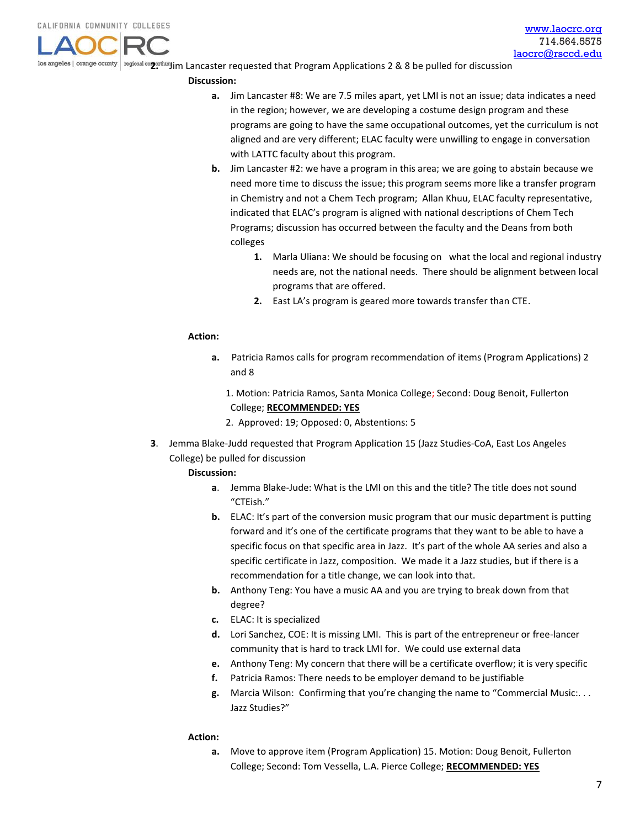los angeles *| orange county | regional competium* Jim Lancaster requested that Program Applications 2 & 8 be pulled for discussion

#### **Discussion:**

- **a.** Jim Lancaster #8: We are 7.5 miles apart, yet LMI is not an issue; data indicates a need in the region; however, we are developing a costume design program and these programs are going to have the same occupational outcomes, yet the curriculum is not aligned and are very different; ELAC faculty were unwilling to engage in conversation with LATTC faculty about this program.
- **b.** Jim Lancaster #2: we have a program in this area; we are going to abstain because we need more time to discuss the issue; this program seems more like a transfer program in Chemistry and not a Chem Tech program; Allan Khuu, ELAC faculty representative, indicated that ELAC's program is aligned with national descriptions of Chem Tech Programs; discussion has occurred between the faculty and the Deans from both colleges
	- **1.** Marla Uliana: We should be focusing on what the local and regional industry needs are, not the national needs. There should be alignment between local programs that are offered.
	- **2.** East LA's program is geared more towards transfer than CTE.

#### **Action:**

- **a.** Patricia Ramos calls for program recommendation of items (Program Applications) 2 and 8
	- 1. Motion: Patricia Ramos, Santa Monica College; Second: Doug Benoit, Fullerton College; **RECOMMENDED: YES**
	- 2. Approved: 19; Opposed: 0, Abstentions: 5
- **3**. Jemma Blake-Judd requested that Program Application 15 (Jazz Studies-CoA, East Los Angeles College) be pulled for discussion

#### **Discussion:**

- **a**. Jemma Blake-Jude: What is the LMI on this and the title? The title does not sound "CTEish."
- **b.** ELAC: It's part of the conversion music program that our music department is putting forward and it's one of the certificate programs that they want to be able to have a specific focus on that specific area in Jazz. It's part of the whole AA series and also a specific certificate in Jazz, composition. We made it a Jazz studies, but if there is a recommendation for a title change, we can look into that.
- **b.** Anthony Teng: You have a music AA and you are trying to break down from that degree?
- **c.** ELAC: It is specialized
- **d.** Lori Sanchez, COE: It is missing LMI. This is part of the entrepreneur or free-lancer community that is hard to track LMI for. We could use external data
- **e.** Anthony Teng: My concern that there will be a certificate overflow; it is very specific
- **f.** Patricia Ramos: There needs to be employer demand to be justifiable
- **g.** Marcia Wilson: Confirming that you're changing the name to "Commercial Music:. . . Jazz Studies?"

#### **Action:**

**a.** Move to approve item (Program Application) 15. Motion: Doug Benoit, Fullerton College; Second: Tom Vessella, L.A. Pierce College; **RECOMMENDED: YES**